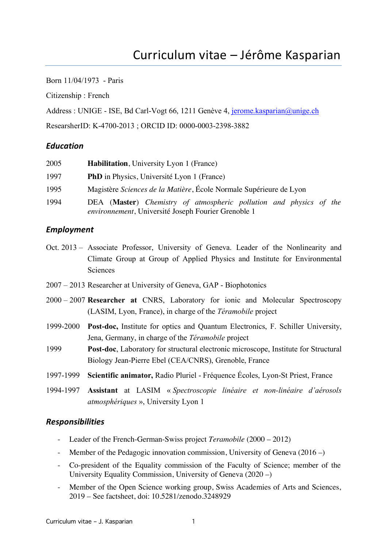Born 11/04/1973 - Paris

Citizenship : French

Address : UNIGE - ISE, Bd Carl-Vogt 66, 1211 Genève 4, jerome.kasparian@unige.ch

ResearsherID: K-4700-2013 ; ORCID ID: 0000-0003-2398-3882

#### *Education*

| 2005 | <b>Habilitation</b> , University Lyon 1 (France)                                                                          |
|------|---------------------------------------------------------------------------------------------------------------------------|
| 1997 | <b>PhD</b> in Physics, Université Lyon 1 (France)                                                                         |
| 1995 | Magistère Sciences de la Matière, École Normale Supérieure de Lyon                                                        |
| 1994 | DEA (Master) Chemistry of atmospheric pollution and physics of the<br>environnement, Université Joseph Fourier Grenoble 1 |

#### *Employment*

- Oct. 2013 Associate Professor, University of Geneva. Leader of the Nonlinearity and Climate Group at Group of Applied Physics and Institute for Environmental Sciences
- 2007 2013 Researcher at University of Geneva, GAP Biophotonics
- 2000 2007 **Researcher at** CNRS, Laboratory for ionic and Molecular Spectroscopy (LASIM, Lyon, France), in charge of the *Téramobile* project
- 1999-2000 **Post-doc,** Institute for optics and Quantum Electronics, F. Schiller University, Jena, Germany, in charge of the *Téramobile* project
- 1999 **Post-doc**, Laboratory for structural electronic microscope, Institute for Structural Biology Jean-Pierre Ebel (CEA/CNRS), Grenoble, France
- 1997-1999 **Scientific animator,** Radio Pluriel Fréquence Écoles, Lyon-St Priest, France
- 1994-1997 **Assistant** at LASIM « *Spectroscopie linéaire et non-linéaire d'aérosols atmosphériques* », University Lyon 1

#### *Responsibilities*

- Leader of the French-German-Swiss project *Teramobile* (2000 2012)
- Member of the Pedagogic innovation commission, University of Geneva (2016 –)
- Co-president of the Equality commission of the Faculty of Science; member of the University Equality Commission, University of Geneva (2020 –)
- Member of the Open Science working group, Swiss Academies of Arts and Sciences, 2019 – See factsheet, doi: 10.5281/zenodo.3248929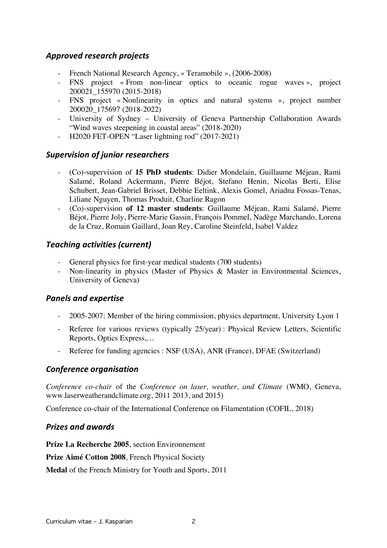## *Approved research projects*

- French National Research Agency, « Teramobile », (2006-2008)
- FNS project « From non-linear optics to oceanic rogue waves », project 200021\_155970 (2015-2018)
- FNS project « Nonlinearity in optics and natural systems », project number 200020\_175697 (2018-2022)
- University of Sydney University of Geneva Partnership Collaboration Awards "Wind waves steepening in coastal areas" (2018-2020)
- H2020 FET-OPEN "Laser lightning rod" (2017-2021)

## *Supervision of junior researchers*

- (Co)-supervision of **15 PhD students**: Didier Mondelain, Guillaume Méjean, Rami Salamé, Roland Ackermann, Pierre Béjot, Stefano Henin, Nicolas Berti, Elise Schubert, Jean-Gabriel Brisset, Debbie Eeltink, Alexis Gomel, Ariadna Fossas-Tenas, Liliane Nguyen, Thomas Produit, Charline Ragon
- (Co)-supervision **of 12 master students**: Guillaume Méjean, Rami Salamé, Pierre Béjot, Pierre Joly, Pierre-Marie Gassin, François Pommel, Nadège Marchando, Lorena de la Cruz, Romain Gaillard, Joan Rey, Caroline Steinfeld, Isabel Valdez

# *Teaching activities (current)*

- General physics for first-year medical students (700 students)
- Non-linearity in physics (Master of Physics & Master in Environmental Sciences, University of Geneva)

## *Panels and expertise*

- 2005-2007: Member of the hiring commission, physics department, University Lyon 1
- Referee for various reviews (typically 25/year) : Physical Review Letters, Scientific Reports, Optics Express,…
- Referee for funding agencies : NSF (USA), ANR (France), DFAE (Switzerland)

## *Conference organisation*

*Conference co-chair* of the *Conference on laser, weather, and Climate* (WMO, Geneva, www.laserweatherandclimate.org, 2011 2013, and 2015)

Conference co-chair of the International Conference on Filamentation (COFIL, 2018)

## *Prizes and awards*

**Prize La Recherche 2005**, section Environnement

**Prize Aimé Cotton 2008**, French Physical Society

**Medal** of the French Ministry for Youth and Sports, 2011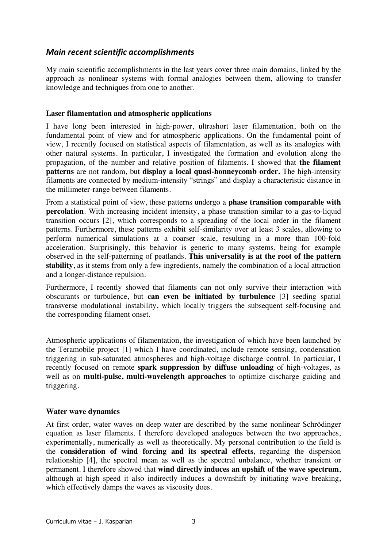## *Main recent scientific accomplishments*

My main scientific accomplishments in the last years cover three main domains, linked by the approach as nonlinear systems with formal analogies between them, allowing to transfer knowledge and techniques from one to another.

#### **Laser filamentation and atmospheric applications**

I have long been interested in high-power, ultrashort laser filamentation, both on the fundamental point of view and for atmospheric applications. On the fundamental point of view, I recently focused on statistical aspects of filamentation, as well as its analogies with other natural systems. In particular, I investigated the formation and evolution along the propagation, of the number and relative position of filaments. I showed that **the filament patterns** are not random, but **display a local quasi-honneycomb order.** The high-intensity filaments are connected by medium-intensity "strings" and display a characteristic distance in the millimeter-range between filaments.

From a statistical point of view, these patterns undergo a **phase transition comparable with percolation**. With increasing incident intensity, a phase transition similar to a gas-to-liquid transition occurs [2], which corresponds to a spreading of the local order in the filament patterns. Furthermore, these patterns exhibit self-similarity over at least 3 scales, allowing to perform numerical simulations at a coarser scale, resulting in a more than 100-fold acceleration. Surprisingly, this behavior is generic to many systems, being for example observed in the self-patterning of peatlands. **This universality is at the root of the pattern stability**, as it stems from only a few ingredients, namely the combination of a local attraction and a longer-distance repulsion.

Furthermore, I recently showed that filaments can not only survive their interaction with obscurants or turbulence, but **can even be initiated by turbulence** [3] seeding spatial transverse modulational instability, which locally triggers the subsequent self-focusing and the corresponding filament onset.

Atmospheric applications of filamentation, the investigation of which have been launched by the Teramobile project [1] which I have coordinated, include remote sensing, condensation triggering in sub-saturated atmospheres and high-voltage discharge control. In particular, I recently focused on remote **spark suppression by diffuse unloading** of high-voltages, as well as on **multi-pulse, multi-wavelength approaches** to optimize discharge guiding and triggering.

#### **Water wave dynamics**

At first order, water waves on deep water are described by the same nonlinear Schrödinger equation as laser filaments. I therefore developed analogues between the two approaches, experimentally, numerically as well as theoretically. My personal contribution to the field is the **consideration of wind forcing and its spectral effects**, regarding the dispersion relationship [4], the spectral mean as well as the spectral unbalance, whether transient or permanent. I therefore showed that **wind directly induces an upshift of the wave spectrum**, although at high speed it also indirectly induces a downshift by initiating wave breaking, which effectively damps the waves as viscosity does.